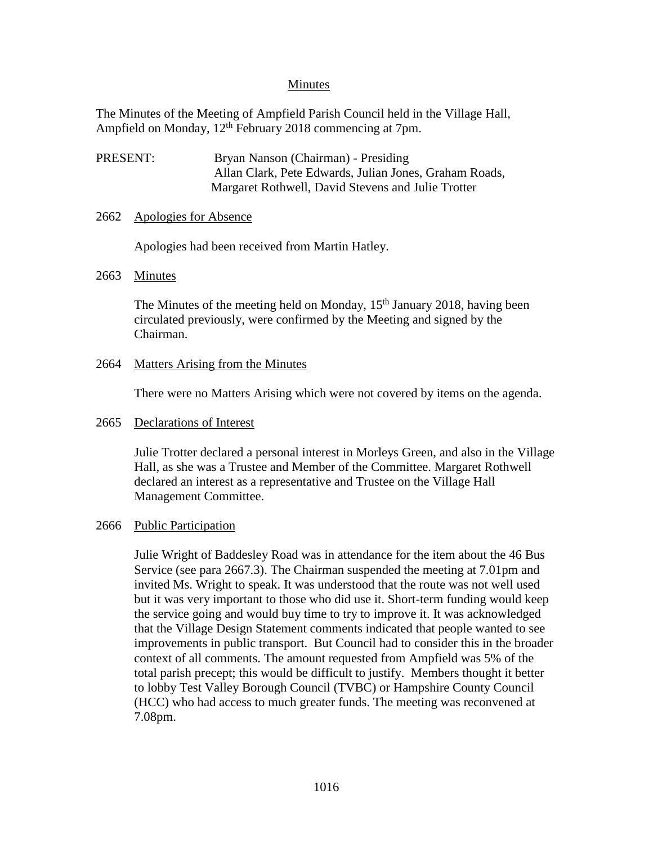# Minutes

The Minutes of the Meeting of Ampfield Parish Council held in the Village Hall, Ampfield on Monday, 12<sup>th</sup> February 2018 commencing at 7pm.

PRESENT: Bryan Nanson (Chairman) - Presiding Allan Clark, Pete Edwards, Julian Jones, Graham Roads, Margaret Rothwell, David Stevens and Julie Trotter

### 2662 Apologies for Absence

Apologies had been received from Martin Hatley.

### 2663 Minutes

The Minutes of the meeting held on Monday, 15<sup>th</sup> January 2018, having been circulated previously, were confirmed by the Meeting and signed by the Chairman.

# 2664 Matters Arising from the Minutes

There were no Matters Arising which were not covered by items on the agenda.

### 2665 Declarations of Interest

Julie Trotter declared a personal interest in Morleys Green, and also in the Village Hall, as she was a Trustee and Member of the Committee. Margaret Rothwell declared an interest as a representative and Trustee on the Village Hall Management Committee.

#### 2666 Public Participation

Julie Wright of Baddesley Road was in attendance for the item about the 46 Bus Service (see para 2667.3). The Chairman suspended the meeting at 7.01pm and invited Ms. Wright to speak. It was understood that the route was not well used but it was very important to those who did use it. Short-term funding would keep the service going and would buy time to try to improve it. It was acknowledged that the Village Design Statement comments indicated that people wanted to see improvements in public transport. But Council had to consider this in the broader context of all comments. The amount requested from Ampfield was 5% of the total parish precept; this would be difficult to justify. Members thought it better to lobby Test Valley Borough Council (TVBC) or Hampshire County Council (HCC) who had access to much greater funds. The meeting was reconvened at 7.08pm.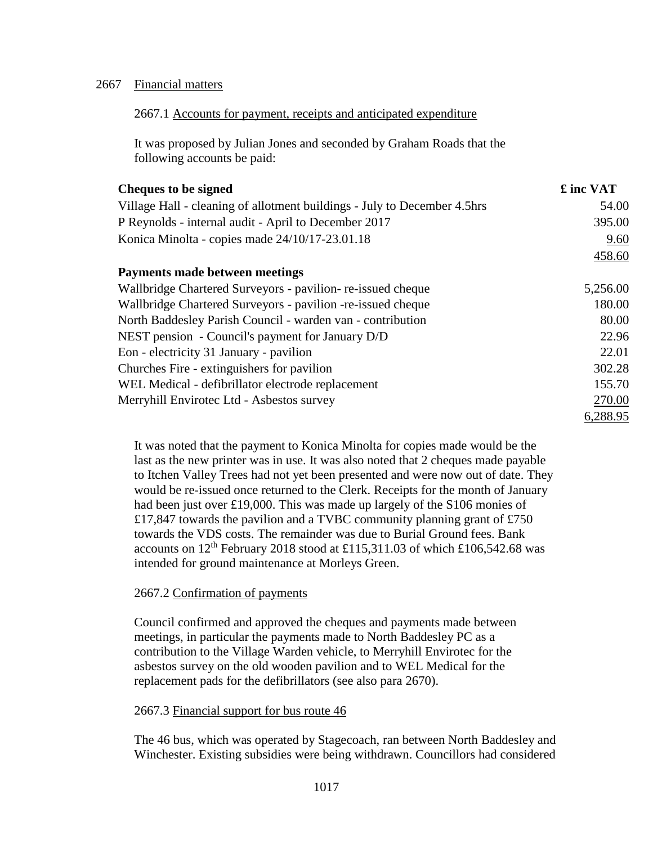## 2667 Financial matters

## 2667.1 Accounts for payment, receipts and anticipated expenditure

It was proposed by Julian Jones and seconded by Graham Roads that the following accounts be paid:

| <b>Cheques to be signed</b>                                              | £ inc VAT |
|--------------------------------------------------------------------------|-----------|
| Village Hall - cleaning of allotment buildings - July to December 4.5hrs | 54.00     |
| P Reynolds - internal audit - April to December 2017                     | 395.00    |
| Konica Minolta - copies made 24/10/17-23.01.18                           | 9.60      |
|                                                                          | 458.60    |
| Payments made between meetings                                           |           |
| Wallbridge Chartered Surveyors - pavilion-re-issued cheque               | 5,256.00  |
| Wallbridge Chartered Surveyors - pavilion -re-issued cheque              | 180.00    |
| North Baddesley Parish Council - warden van - contribution               | 80.00     |
| NEST pension - Council's payment for January D/D                         | 22.96     |
| Eon - electricity 31 January - pavilion                                  | 22.01     |
| Churches Fire - extinguishers for pavilion                               | 302.28    |
| WEL Medical - defibrillator electrode replacement                        | 155.70    |
| Merryhill Envirotec Ltd - Asbestos survey                                | 270.00    |
|                                                                          | 6,288.95  |

It was noted that the payment to Konica Minolta for copies made would be the last as the new printer was in use. It was also noted that 2 cheques made payable to Itchen Valley Trees had not yet been presented and were now out of date. They would be re-issued once returned to the Clerk. Receipts for the month of January had been just over £19,000. This was made up largely of the S106 monies of £17,847 towards the pavilion and a TVBC community planning grant of £750 towards the VDS costs. The remainder was due to Burial Ground fees. Bank accounts on  $12^{th}$  February 2018 stood at £115,311.03 of which £106,542.68 was intended for ground maintenance at Morleys Green.

# 2667.2 Confirmation of payments

Council confirmed and approved the cheques and payments made between meetings, in particular the payments made to North Baddesley PC as a contribution to the Village Warden vehicle, to Merryhill Envirotec for the asbestos survey on the old wooden pavilion and to WEL Medical for the replacement pads for the defibrillators (see also para 2670).

#### 2667.3 Financial support for bus route 46

The 46 bus, which was operated by Stagecoach, ran between North Baddesley and Winchester. Existing subsidies were being withdrawn. Councillors had considered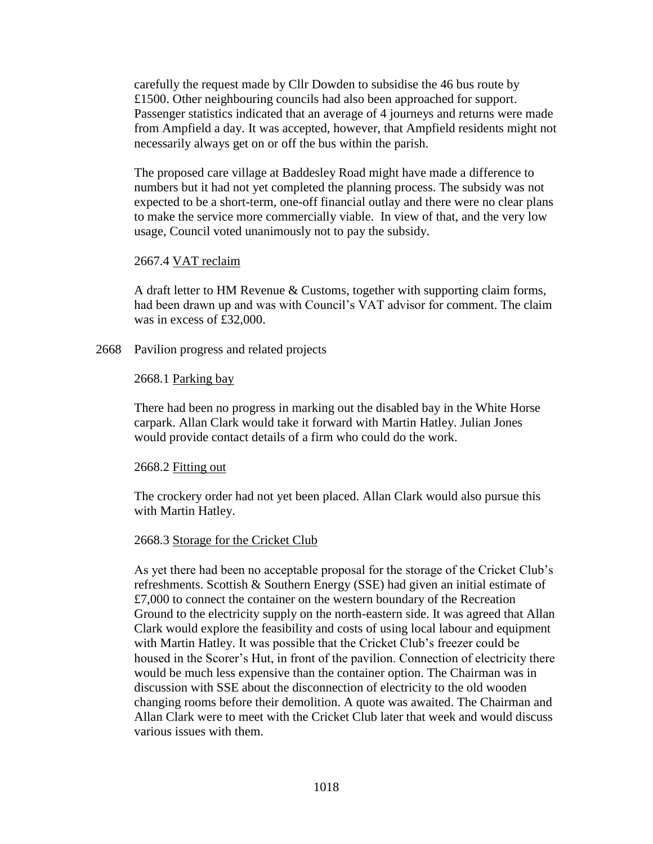carefully the request made by Cllr Dowden to subsidise the 46 bus route by £1500. Other neighbouring councils had also been approached for support. Passenger statistics indicated that an average of 4 journeys and returns were made from Ampfield a day. It was accepted, however, that Ampfield residents might not necessarily always get on or off the bus within the parish.

The proposed care village at Baddesley Road might have made a difference to numbers but it had not yet completed the planning process. The subsidy was not expected to be a short-term, one-off financial outlay and there were no clear plans to make the service more commercially viable. In view of that, and the very low usage, Council voted unanimously not to pay the subsidy.

#### 2667.4 VAT reclaim

A draft letter to HM Revenue & Customs, together with supporting claim forms, had been drawn up and was with Council's VAT advisor for comment. The claim was in excess of £32,000.

#### 2668 Pavilion progress and related projects

#### 2668.1 Parking bay

There had been no progress in marking out the disabled bay in the White Horse carpark. Allan Clark would take it forward with Martin Hatley. Julian Jones would provide contact details of a firm who could do the work.

#### 2668.2 Fitting out

The crockery order had not yet been placed. Allan Clark would also pursue this with Martin Hatley.

#### 2668.3 Storage for the Cricket Club

As yet there had been no acceptable proposal for the storage of the Cricket Club's refreshments. Scottish & Southern Energy (SSE) had given an initial estimate of £7,000 to connect the container on the western boundary of the Recreation Ground to the electricity supply on the north-eastern side. It was agreed that Allan Clark would explore the feasibility and costs of using local labour and equipment with Martin Hatley. It was possible that the Cricket Club's freezer could be housed in the Scorer's Hut, in front of the pavilion. Connection of electricity there would be much less expensive than the container option. The Chairman was in discussion with SSE about the disconnection of electricity to the old wooden changing rooms before their demolition. A quote was awaited. The Chairman and Allan Clark were to meet with the Cricket Club later that week and would discuss various issues with them.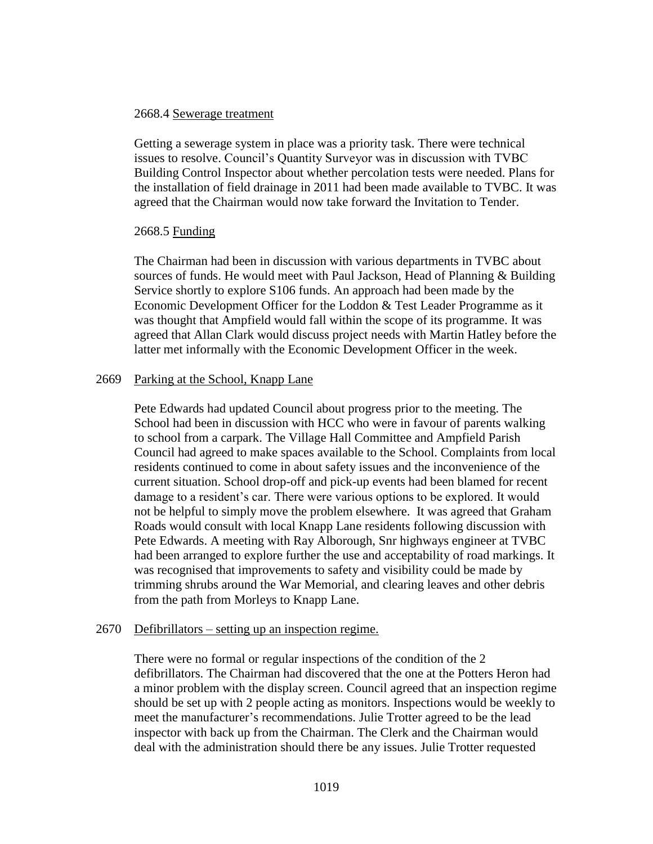#### 2668.4 Sewerage treatment

Getting a sewerage system in place was a priority task. There were technical issues to resolve. Council's Quantity Surveyor was in discussion with TVBC Building Control Inspector about whether percolation tests were needed. Plans for the installation of field drainage in 2011 had been made available to TVBC. It was agreed that the Chairman would now take forward the Invitation to Tender.

#### 2668.5 Funding

The Chairman had been in discussion with various departments in TVBC about sources of funds. He would meet with Paul Jackson, Head of Planning & Building Service shortly to explore S106 funds. An approach had been made by the Economic Development Officer for the Loddon & Test Leader Programme as it was thought that Ampfield would fall within the scope of its programme. It was agreed that Allan Clark would discuss project needs with Martin Hatley before the latter met informally with the Economic Development Officer in the week.

### 2669 Parking at the School, Knapp Lane

Pete Edwards had updated Council about progress prior to the meeting. The School had been in discussion with HCC who were in favour of parents walking to school from a carpark. The Village Hall Committee and Ampfield Parish Council had agreed to make spaces available to the School. Complaints from local residents continued to come in about safety issues and the inconvenience of the current situation. School drop-off and pick-up events had been blamed for recent damage to a resident's car. There were various options to be explored. It would not be helpful to simply move the problem elsewhere. It was agreed that Graham Roads would consult with local Knapp Lane residents following discussion with Pete Edwards. A meeting with Ray Alborough, Snr highways engineer at TVBC had been arranged to explore further the use and acceptability of road markings. It was recognised that improvements to safety and visibility could be made by trimming shrubs around the War Memorial, and clearing leaves and other debris from the path from Morleys to Knapp Lane.

# 2670 Defibrillators – setting up an inspection regime.

There were no formal or regular inspections of the condition of the 2 defibrillators. The Chairman had discovered that the one at the Potters Heron had a minor problem with the display screen. Council agreed that an inspection regime should be set up with 2 people acting as monitors. Inspections would be weekly to meet the manufacturer's recommendations. Julie Trotter agreed to be the lead inspector with back up from the Chairman. The Clerk and the Chairman would deal with the administration should there be any issues. Julie Trotter requested